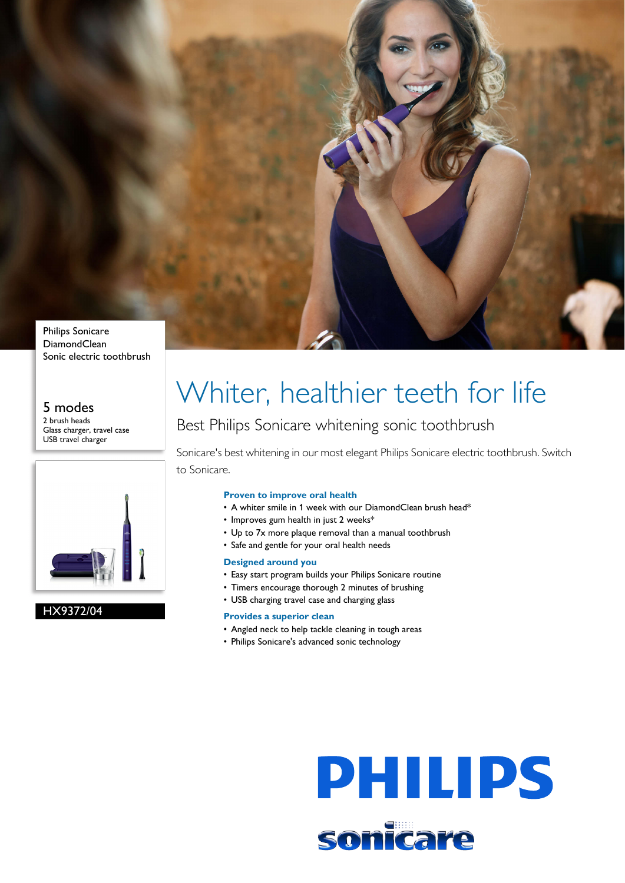

Sonic electric toothbrush

#### 5 modes 2 brush heads Glass charger, travel case USB travel charger



#### HX9372/04

# Whiter, healthier teeth for life

### Best Philips Sonicare whitening sonic toothbrush

Sonicare's best whitening in our most elegant Philips Sonicare electric toothbrush. Switch to Sonicare.

#### **Proven to improve oral health**

- A whiter smile in 1 week with our DiamondClean brush head\*
- Improves gum health in just 2 weeks\*
- Up to 7x more plaque removal than a manual toothbrush
- Safe and gentle for your oral health needs

#### **Designed around you**

- Easy start program builds your Philips Sonicare routine
- Timers encourage thorough 2 minutes of brushing
- USB charging travel case and charging glass

#### **Provides a superior clean**

- Angled neck to help tackle cleaning in tough areas
- Philips Sonicare's advanced sonic technology

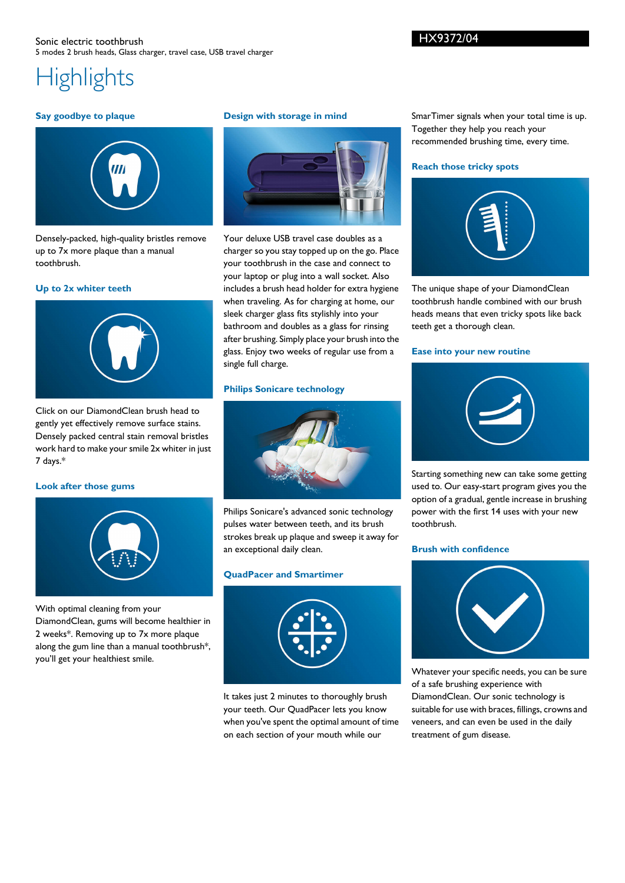#### **Say goodbye to plaque**



Densely-packed, high-quality bristles remove up to 7x more plaque than a manual toothbrush.

#### **Up to 2x whiter teeth**



Click on our DiamondClean brush head to gently yet effectively remove surface stains. Densely packed central stain removal bristles work hard to make your smile 2x whiter in just 7 days.\*

#### **Look after those gums**



With optimal cleaning from your DiamondClean, gums will become healthier in 2 weeks\*. Removing up to 7x more plaque along the gum line than a manual toothbrush\*, you'll get your healthiest smile.

#### **Design with storage in mind**



Your deluxe USB travel case doubles as a charger so you stay topped up on the go. Place your toothbrush in the case and connect to your laptop or plug into a wall socket. Also includes a brush head holder for extra hygiene when traveling. As for charging at home, our sleek charger glass fits stylishly into your bathroom and doubles as a glass for rinsing after brushing. Simply place your brush into the glass. Enjoy two weeks of regular use from a single full charge.

#### **Philips Sonicare technology**



Philips Sonicare's advanced sonic technology pulses water between teeth, and its brush strokes break up plaque and sweep it away for an exceptional daily clean.

#### **QuadPacer and Smartimer**



It takes just 2 minutes to thoroughly brush your teeth. Our QuadPacer lets you know when you've spent the optimal amount of time on each section of your mouth while our

SmarTimer signals when your total time is up. Together they help you reach your recommended brushing time, every time.

#### **Reach those tricky spots**



The unique shape of your DiamondClean toothbrush handle combined with our brush heads means that even tricky spots like back teeth get a thorough clean.

#### **Ease into your new routine**



Starting something new can take some getting used to. Our easy-start program gives you the option of a gradual, gentle increase in brushing power with the first 14 uses with your new toothbrush.

#### **Brush with confidence**



Whatever your specific needs, you can be sure of a safe brushing experience with DiamondClean. Our sonic technology is suitable for use with braces, fillings, crowns and veneers, and can even be used in the daily treatment of gum disease.